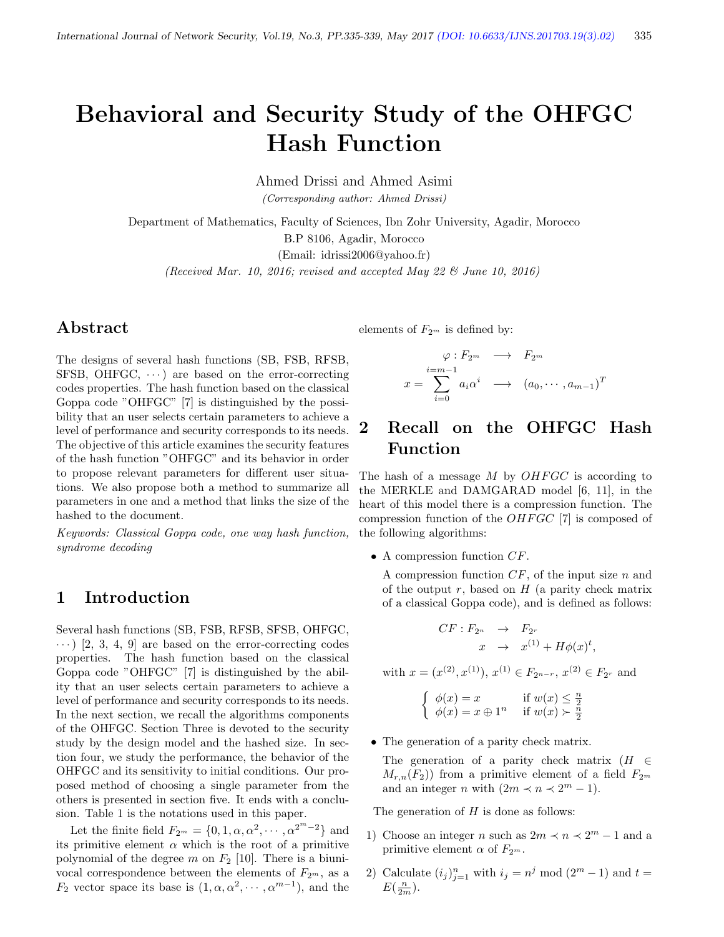# Behavioral and Security Study of the OHFGC Hash Function

Ahmed Drissi and Ahmed Asimi

(Corresponding author: Ahmed Drissi)

Department of Mathematics, Faculty of Sciences, Ibn Zohr University, Agadir, Morocco B.P 8106, Agadir, Morocco (Email: idrissi2006@yahoo.fr)

(Received Mar. 10, 2016; revised and accepted May 22  $\mathcal{B}$  June 10, 2016)

## Abstract

The designs of several hash functions (SB, FSB, RFSB, SFSB, OHFGC,  $\cdots$ ) are based on the error-correcting codes properties. The hash function based on the classical Goppa code "OHFGC" [7] is distinguished by the possibility that an user selects certain parameters to achieve a level of performance and security corresponds to its needs. The objective of this article examines the security features of the hash function "OHFGC" and its behavior in order to propose relevant parameters for different user situations. We also propose both a method to summarize all parameters in one and a method that links the size of the hashed to the document.

Keywords: Classical Goppa code, one way hash function, syndrome decoding

## 1 Introduction

Several hash functions (SB, FSB, RFSB, SFSB, OHFGC,  $\cdots$ ) [2, 3, 4, 9] are based on the error-correcting codes properties. The hash function based on the classical Goppa code "OHFGC" [7] is distinguished by the ability that an user selects certain parameters to achieve a level of performance and security corresponds to its needs. In the next section, we recall the algorithms components of the OHFGC. Section Three is devoted to the security study by the design model and the hashed size. In section four, we study the performance, the behavior of the OHFGC and its sensitivity to initial conditions. Our proposed method of choosing a single parameter from the others is presented in section five. It ends with a conclusion. Table 1 is the notations used in this paper.

Let the finite field  $F_{2^m} = \{0, 1, \alpha, \alpha^2, \cdots, \alpha^{2^m-2}\}\$  and its primitive element  $\alpha$  which is the root of a primitive polynomial of the degree  $m$  on  $F_2$  [10]. There is a biunivocal correspondence between the elements of  $F_{2<sup>m</sup>$ , as a  $F_2$  vector space its base is  $(1, \alpha, \alpha^2, \dots, \alpha^{m-1})$ , and the

elements of  $F_{2^m}$  is defined by:

$$
\varphi: F_{2^m} \longrightarrow F_{2^m}
$$

$$
x = \sum_{i=0}^{i=m-1} a_i \alpha^i \longrightarrow (a_0, \dots, a_{m-1})^T
$$

## 2 Recall on the OHFGC Hash Function

The hash of a message  $M$  by  $OHFGC$  is according to the MERKLE and DAMGARAD model [6, 11], in the heart of this model there is a compression function. The compression function of the  $OHFGC$  [7] is composed of the following algorithms:

• A compression function  $CF$ .

A compression function  $CF$ , of the input size n and of the output  $r$ , based on  $H$  (a parity check matrix of a classical Goppa code), and is defined as follows:

$$
CF: F_{2^n} \rightarrow F_{2^r}
$$
  

$$
x \rightarrow x^{(1)} + H\phi(x)^t,
$$

with  $x = (x^{(2)}, x^{(1)}), x^{(1)} \in F_{2^{n-r}}, x^{(2)} \in F_{2^r}$  and

$$
\begin{cases} \phi(x) = x & \text{if } w(x) \leq \frac{n}{2} \\ \phi(x) = x \oplus 1^n & \text{if } w(x) \succ \frac{n}{2} \end{cases}
$$

• The generation of a parity check matrix.

The generation of a parity check matrix  $(H \in$  $M_{r,n}(F_2)$  from a primitive element of a field  $F_{2^m}$ and an integer *n* with  $(2m \prec n \prec 2^m - 1)$ .

The generation of  $H$  is done as follows:

- 1) Choose an integer *n* such as  $2m \prec n \prec 2^m 1$  and a primitive element  $\alpha$  of  $F_{2^m}$ .
- 2) Calculate  $(i_j)_{j=1}^n$  with  $i_j = n^j \mod (2^m 1)$  and  $t =$  $E(\frac{n}{2m}).$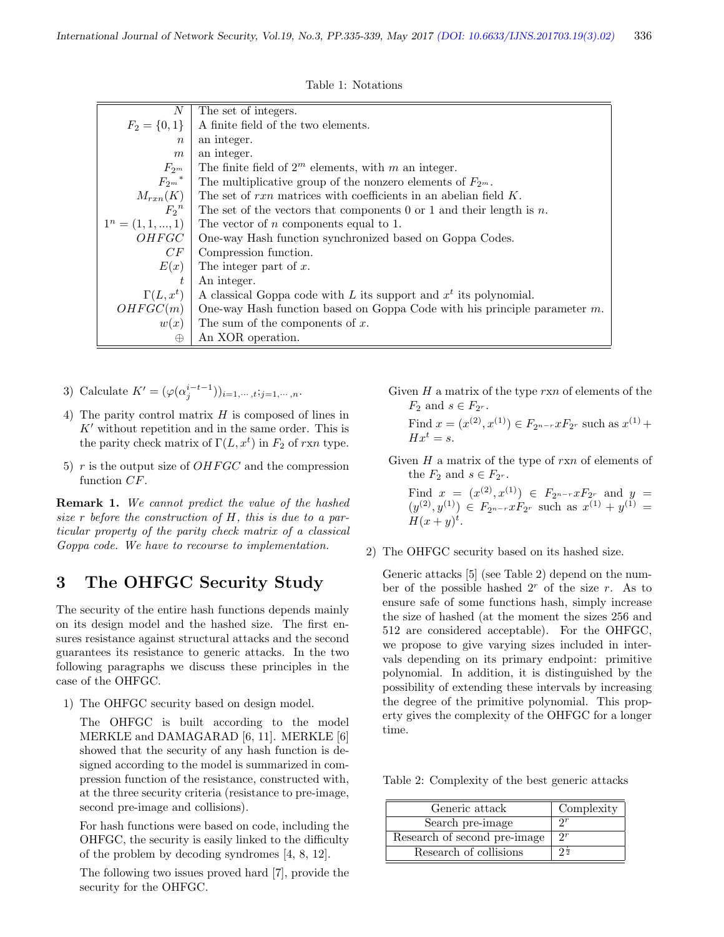|  | Table 1: Notations |
|--|--------------------|
|  |                    |

| N                     | The set of integers.                                                         |
|-----------------------|------------------------------------------------------------------------------|
| $F_2 = \{0,1\}$       | A finite field of the two elements.                                          |
| $\eta$                | an integer.                                                                  |
| m                     | an integer.                                                                  |
| $F_{2^m}$             | The finite field of $2^m$ elements, with m an integer.                       |
| $F_{2m}$ <sup>*</sup> | The multiplicative group of the nonzero elements of $F_{2^m}$ .              |
| $M_{rxn}(K)$          | The set of $rxn$ matrices with coefficients in an abelian field K.           |
| $F_2^{\ n}$           | The set of the vectors that components 0 or 1 and their length is n.         |
| $1^n = (1, 1, , 1)$   | The vector of $n$ components equal to 1.                                     |
| OHFGC                 | One-way Hash function synchronized based on Goppa Codes.                     |
| CF                    | Compression function.                                                        |
| E(x)                  | The integer part of $x$ .                                                    |
| t.                    | An integer.                                                                  |
| $\Gamma(L, x^t)$      | A classical Goppa code with L its support and $x^t$ its polynomial.          |
| OHFGC(m)              | One-way Hash function based on Goppa Code with his principle parameter $m$ . |
| w(x)                  | The sum of the components of $x$ .                                           |
| $\oplus$              | An XOR operation.                                                            |

- 3) Calculate  $K' = (\varphi(\alpha_j^{i-t-1}))_{i=1,\dots,t};_{j=1,\dots,n}.$
- 4) The parity control matrix H is composed of lines in  $K'$  without repetition and in the same order. This is the parity check matrix of  $\Gamma(L, x^t)$  in  $F_2$  of rxn type.
- 5)  $r$  is the output size of  $OHFGC$  and the compression function CF.

Remark 1. We cannot predict the value of the hashed size r before the construction of H, this is due to a particular property of the parity check matrix of a classical Goppa code. We have to recourse to implementation.

### 3 The OHFGC Security Study

The security of the entire hash functions depends mainly on its design model and the hashed size. The first ensures resistance against structural attacks and the second guarantees its resistance to generic attacks. In the two following paragraphs we discuss these principles in the case of the OHFGC.

1) The OHFGC security based on design model.

The OHFGC is built according to the model MERKLE and DAMAGARAD [6, 11]. MERKLE [6] showed that the security of any hash function is designed according to the model is summarized in compression function of the resistance, constructed with, at the three security criteria (resistance to pre-image, second pre-image and collisions).

For hash functions were based on code, including the OHFGC, the security is easily linked to the difficulty of the problem by decoding syndromes [4, 8, 12].

The following two issues proved hard [7], provide the security for the OHFGC.

Given  $H$  a matrix of the type  $rxn$  of elements of the  $F_2$  and  $s \in F_{2^r}$ .

Find 
$$
x = (x^{(2)}, x^{(1)}) \in F_{2^{n-r}} x F_{2^r}
$$
 such as  $x^{(1)} + Hx^t = s$ .

Given  $H$  a matrix of the type of  $rxn$  of elements of the  $F_2$  and  $s \in F_{2^r}$ .

Find  $x = (x^{(2)}, x^{(1)}) \in F_{2^{n-r}} x F_{2^r}$  and  $y =$  $(y^{(2)}, y^{(1)}) \in F_{2^{n-r}} x F_{2^r}$  such as  $x^{(1)} + y^{(1)} =$  $H(x+y)^t$ .

2) The OHFGC security based on its hashed size.

Generic attacks [5] (see Table 2) depend on the number of the possible hashed  $2<sup>r</sup>$  of the size r. As to ensure safe of some functions hash, simply increase the size of hashed (at the moment the sizes 256 and 512 are considered acceptable). For the OHFGC, we propose to give varying sizes included in intervals depending on its primary endpoint: primitive polynomial. In addition, it is distinguished by the possibility of extending these intervals by increasing the degree of the primitive polynomial. This property gives the complexity of the OHFGC for a longer time.

Table 2: Complexity of the best generic attacks

| Generic attack               | Complexity      |
|------------------------------|-----------------|
| Search pre-image             |                 |
| Research of second pre-image | $\Omega r$      |
| Research of collisions       | $2\overline{2}$ |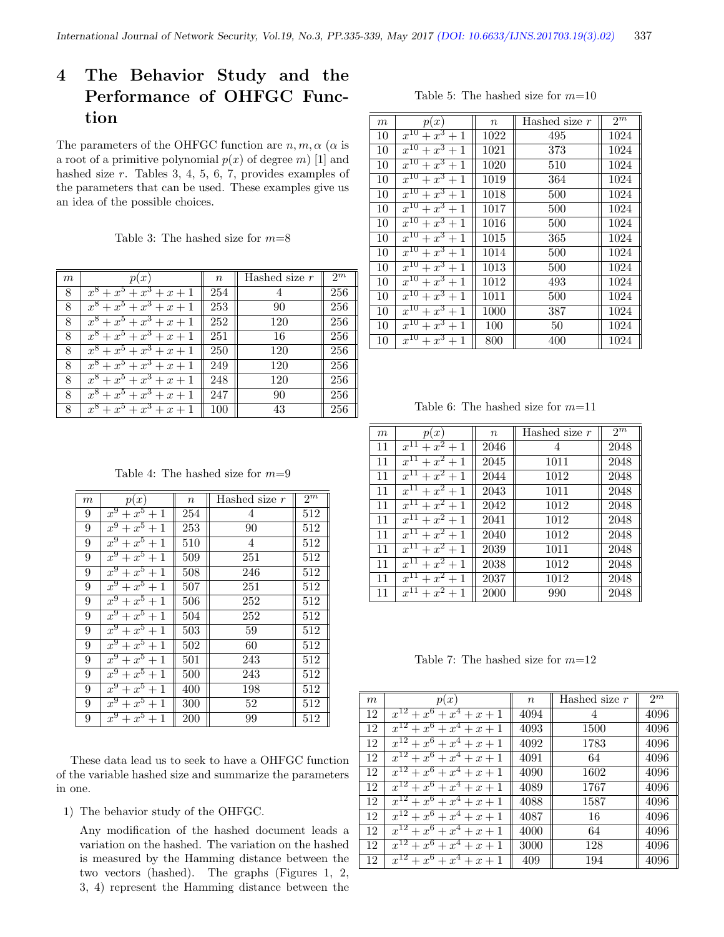## 4 The Behavior Study and the Performance of OHFGC Function

The parameters of the OHFGC function are  $n, m, \alpha$  ( $\alpha$  is a root of a primitive polynomial  $p(x)$  of degree m) [1] and hashed size r. Tables 3, 4, 5, 6, 7, provides examples of the parameters that can be used. These examples give us an idea of the possible choices.

Table 3: The hashed size for  $m=8$ 

| m | (x <sup>2</sup> )                    | $\boldsymbol{n}$ | Hashed size $r$ | $2^m$ |
|---|--------------------------------------|------------------|-----------------|-------|
| 8 | $x^8 + x^5 + x^3 + x + 1$            | 254              |                 | 256   |
| 8 | $x^8$<br>$+x^5+x^3+x+1$              | 253              | 90              | 256   |
| 8 | $\overline{x^8 + x^5 + x^3 + x + 1}$ | 252              | 120             | 256   |
| 8 | $x^8 + x^5 + x^3 + x + 1$            | 251              | 16              | 256   |
| 8 | $x^8 + x^5 + x^3 + x + 1$            | 250              | 120             | 256   |
| 8 | $x^8 + x^5 + x^3 + x + 1$            | 249              | 120             | 256   |
| 8 | $x^8 + x^5 + x^3 + x + 1$            | 248              | 120             | 256   |
| 8 | $x^8 + x^5 + x^3 + x + 1$            | 247              | 90              | 256   |
| 8 | $x^8 + x^5 + x^3 + x + 1$            | 100              | 43              | 256   |

Table 4: The hashed size for  $m=9$ 

| $_{m}$ | p(x)                                    | $\, n$           | Hashed size $r$ | $2^m$ |
|--------|-----------------------------------------|------------------|-----------------|-------|
| 9      | $\overline{x^9}$<br>$+\overline{x^5+1}$ | 254              | 4               | 512   |
| 9      | $x^9$<br>$+x^5+1$                       | 253              | 90              | 512   |
| 9      | $x^9 + x^5 + 1$                         | 510              | 4               | 512   |
| 9      | $x^9 + x^5 + 1$                         | 509              | 251             | 512   |
| 9      | $x^9 + x^5 + 1$                         | 508              | 246             | 512   |
| 9      | $x^9 + x^5 + 1$                         | 507              | 251             | 512   |
| 9      | $x^9 + x^5 + 1$                         | 506              | 252             | 512   |
| 9      | $x^9 + x^5 + 1$                         | 504              | 252             | 512   |
| 9      | $x^9 + x^5 + 1$                         | $\overline{5}03$ | 59              | 512   |
| 9      | $x^9 + x^5 + 1$                         | 502              | 60              | 512   |
| 9      | $x^9 + x^5 + 1$                         | 501              | 243             | 512   |
| 9      | $x^9 + x^5 + 1$                         | 500              | 243             | 512   |
| 9      | $x^9 + x^5 + 1$                         | 400              | 198             | 512   |
| 9      | $x^9 + x^5 + 1$                         | 300              | $52\,$          | 512   |
| 9      | $x^9 + x^5 + 1$                         | 200              | 99              | 512   |

These data lead us to seek to have a OHFGC function of the variable hashed size and summarize the parameters in one.

1) The behavior study of the OHFGC.

Any modification of the hashed document leads a variation on the hashed. The variation on the hashed is measured by the Hamming distance between the two vectors (hashed). The graphs (Figures 1, 2, 3, 4) represent the Hamming distance between the

Table 5: The hashed size for  $m=10$ 

| $\,m$ | p(x)                  | $\, n$ | Hashed size $r$ | $2^m$ |
|-------|-----------------------|--------|-----------------|-------|
| 10    | $\sqrt{x^{10}+x^3+1}$ | 1022   | 495             | 1024  |
| 10    | $x^{10}+x^3+1$        | 1021   | 373             | 1024  |
| 10    | $x^{10}+x^3+1$        | 1020   | 510             | 1024  |
| 10    | $x^{10}+x^3+1$        | 1019   | 364             | 1024  |
| 10    | $x^{10} + x^3 + 1$    | 1018   | 500             | 1024  |
| 10    | $x^{10} + x^3 + 1$    | 1017   | 500             | 1024  |
| 10    | $x^{10} + x^3 + 1$    | 1016   | 500             | 1024  |
| 10    | $x^{10} + x^3 + 1$    | 1015   | 365             | 1024  |
| 10    | $x^{10} + x^3 + 1$    | 1014   | 500             | 1024  |
| 10    | $x^{10}+x^3+1$        | 1013   | 500             | 1024  |
| 10    | $\sqrt{x^{10}+x^3+1}$ | 1012   | 493             | 1024  |
| 10    | $x^{10} + x^3 + 1$    | 1011   | 500             | 1024  |
| 10    | $\sqrt{x^{10}+x^3}+1$ | 1000   | 387             | 1024  |
| 10    | $x^{10}+x^3+1$        | 100    | 50              | 1024  |
| 10    | $x^{10} + x^3 + 1$    | 800    | 400             | 1024  |

Table 6: The hashed size for  $m=11$ 

| $\boldsymbol{m}$ | p(x)                               | $\boldsymbol{n}$ | Hashed size $r$ | $2^m$ |
|------------------|------------------------------------|------------------|-----------------|-------|
| 11               | $x^{1\overline{1}}$<br>$+x^2+1$    | 2046             | 4               | 2048  |
| 11               | $+x^2+1$<br>$x^{\overline{11}}$    | 2045             | 1011            | 2048  |
| 11               | $+ x^2 + 1$<br>$x^{\overline{11}}$ | 2044             | 1012            | 2048  |
| 11               | $+x^2+1$<br>$x^{1\overline{1}}$    | 2043             | 1011            | 2048  |
| 11               | $x^{11} + x^2 + 1$                 | 2042             | 1012            | 2048  |
| 11               | $x^{11} + x^2 + 1$                 | 2041             | 1012            | 2048  |
| 11               | $+x^2+1$<br>$x^{\Pi}$              | 2040             | 1012            | 2048  |
| 11               | $x^{11} + x^2 + 1$                 | 2039             | 1011            | 2048  |
| 11               | $+x^2+1$<br>$x^{\Pi}$              | 2038             | 1012            | 2048  |
| 11               | $x^{11}$<br>$+x^2$<br>$+1$         | 2037             | 1012            | 2048  |
| 11               | $x^{\overline{11}}$<br>$+x^2$      | 2000             | 990             | 2048  |

Table 7: The hashed size for  $m=12$ 

| m  | p(x)                                                               | $\boldsymbol{n}$ | Hashed size $r$ | 2 <sub>m</sub> |
|----|--------------------------------------------------------------------|------------------|-----------------|----------------|
| 12 | $x^{12}$<br>$x^6$<br>$x^4$<br>$+x+1$<br>$^{+}$                     | 4094             | 4               | 4096           |
| 12 | $x^6$<br>$x^4$<br>$\overline{x}$<br>$x+1$                          | 4093             | 1500            | 4096           |
| 12 | $+ x^6$<br>$+ x^4$<br>$\hat{x}$<br>$x+1$<br>$^{+}$                 | 4092             | 1783            | 4096           |
| 12 | $+ x^6$<br>$+ x^4$<br>$x^{\mathbf{\cdot}}$<br>$x+1$<br>$^{+}$      | 4091             | 64              | 4096           |
| 12 | $+ x^6$<br>$+ x^4$<br>$x^1$<br>$x+1$<br>$^{+}$                     | 4090             | 1602            | 4096           |
| 12 | 2<br>$+ x^6$<br>$+ x^4$<br>$x^{\mathbf{\cdot}}$<br>$x+1$<br>$^{+}$ | 4089             | 1767            | 4096           |
| 12 | 2<br>$+ x^6$<br>$x^4$<br>$x^{\perp}$<br>$x+1$                      | 4088             | 1587            | 4096           |
| 12 | 2<br>$x^6$<br>$x^4$<br>$x^{\cdot}$<br>$x+1$                        | 4087             | 16              | 4096           |
| 12 | 2<br>$x^6$<br>$x^4$<br>$x^{\cdot}$<br>$x+1$                        | 4000             | 64              | 4096           |
| 12 | $x^6$<br>$x^4$<br>$x^{\mathsf{I}}$<br>$x+1$                        | 3000             | 128             | 4096           |
| 12 | $x^{12}$<br>$x^6$<br>$x^4$<br>$x+1$                                | 409              | 194             | 4096           |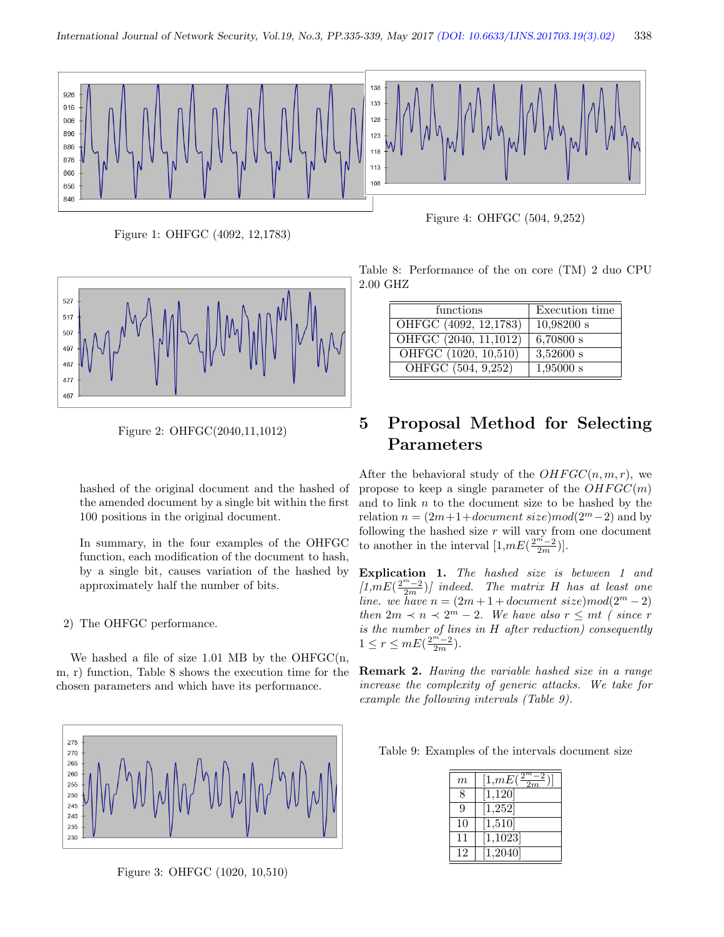

Figure 1: OHFGC (4092, 12,1783)



Figure 2: OHFGC(2040,11,1012)

hashed of the original document and the hashed of the amended document by a single bit within the first 100 positions in the original document.

In summary, in the four examples of the OHFGC function, each modification of the document to hash, by a single bit, causes variation of the hashed by approximately half the number of bits.

#### 2) The OHFGC performance.

We hashed a file of size  $1.01$  MB by the OHFGC(n, m, r) function, Table 8 shows the execution time for the chosen parameters and which have its performance.



Figure 3: OHFGC (1020, 10,510)

Figure 4: OHFGC (504, 9,252)

Table 8: Performance of the on core (TM) 2 duo CPU 2.00 GHZ

| functions             | Execution time |
|-----------------------|----------------|
| OHFGC (4092, 12,1783) | $10,98200$ s   |
| OHFGC (2040, 11,1012) | 6,70800 s      |
| OHFGC (1020, 10,510)  | $3,52600$ s    |
| OHFGC (504, 9,252)    | 1,95000 s      |

## 5 Proposal Method for Selecting Parameters

After the behavioral study of the  $OHFGC(n, m, r)$ , we propose to keep a single parameter of the  $OHFGC(m)$ and to link  $n$  to the document size to be hashed by the relation  $n = (2m+1+document \, size) \, mod(2^m-2)$  and by following the hashed size  $r$  will vary from one document to another in the interval  $[1,mE(\frac{2^{m}-2}{2m})]$ .

Explication 1. The hashed size is between 1 and  $[1, mE(\frac{2^m-2}{2m})]$  indeed. The matrix H has at least one line. we have  $n = (2m + 1 + document size) \mod (2^m - 2)$ then  $2m \prec n \prec 2^m - 2$ . We have also  $r \leq mt$  (since r is the number of lines in H after reduction) consequently  $1 \leq r \leq mE(\frac{2^{m^2}-2}{2m}).$ 

Remark 2. Having the variable hashed size in a range increase the complexity of generic attacks. We take for example the following intervals (Table 9).

Table 9: Examples of the intervals document size

| $\boldsymbol{m}$ | $\frac{2}{\cdot}$<br>[1,mE(<br>2m |
|------------------|-----------------------------------|
| 8                | [1, 120]                          |
| Q                | [1,252]                           |
| 10               | [1,510]                           |
| 11               | [1, 1023]                         |
| 12               | $\overline{1,2040}$               |